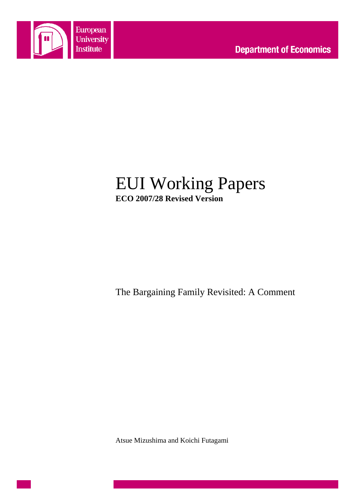

## EUI Working Papers **ECO 2007/28 Revised Version**

The Bargaining Family Revisited: A Comment

Atsue Mizushima and Koichi Futagami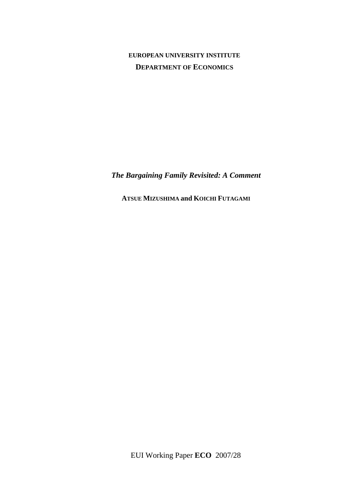## **EUROPEAN UNIVERSITY INSTITUTE DEPARTMENT OF ECONOMICS**

*The Bargaining Family Revisited: A Comment* 

**ATSUE MIZUSHIMA and KOICHI FUTAGAMI**

EUI Working Paper **ECO** 2007/28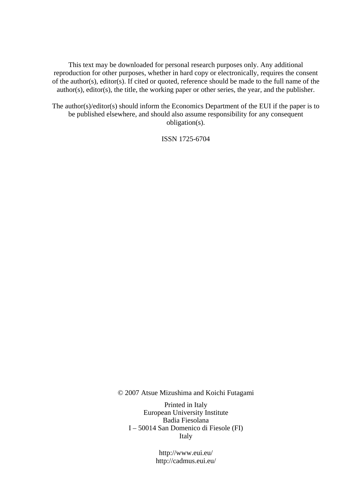This text may be downloaded for personal research purposes only. Any additional reproduction for other purposes, whether in hard copy or electronically, requires the consent of the author(s), editor(s). If cited or quoted, reference should be made to the full name of the author(s), editor(s), the title, the working paper or other series, the year, and the publisher.

The author(s)/editor(s) should inform the Economics Department of the EUI if the paper is to be published elsewhere, and should also assume responsibility for any consequent obligation(s).

ISSN 1725-6704

© 2007 Atsue Mizushima and Koichi Futagami

Printed in Italy European University Institute Badia Fiesolana I – 50014 San Domenico di Fiesole (FI) Italy

> http://www.eui.eu/ http://cadmus.eui.eu/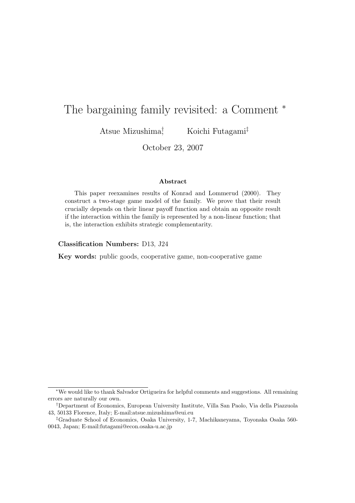# The bargaining family revisited: a Comment  $*$

Atsue Mizushima†

, Koichi Futagami‡

October 23, 2007

#### **Abstract**

This paper reexamines results of Konrad and Lommerud (2000). They construct a two-stage game model of the family. We prove that their result crucially depends on their linear payoff function and obtain an opposite result if the interaction within the family is represented by a non-linear function; that is, the interaction exhibits strategic complementarity.

**Classification Numbers:** D13, J24

**Key words:** public goods, cooperative game, non-cooperative game

<sup>∗</sup>We would like to thank Salvador Ortigueira for helpful comments and suggestions. All remaining errors are naturally our own.

<sup>†</sup>Department of Economics, European University Institute, Villa San Paolo, Via della Piazzuola 43, 50133 Florence, Italy; E-mail:atsue.mizushima@eui.eu

<sup>‡</sup>Graduate School of Economics, Osaka University, 1-7, Machikaneyama, Toyonaka Osaka 560- 0043, Japan; E-mail:futagami@econ.osaka-u.ac.jp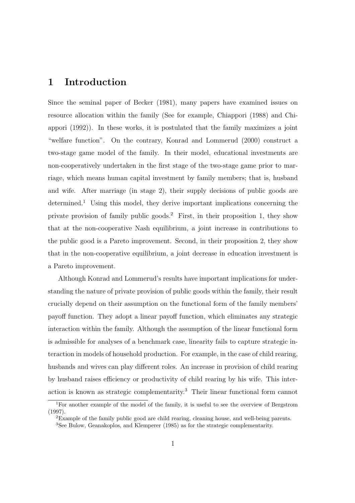## **1 Introduction**

Since the seminal paper of Becker (1981), many papers have examined issues on resource allocation within the family (See for example, Chiappori (1988) and Chiappori (1992)). In these works, it is postulated that the family maximizes a joint "welfare function". On the contrary, Konrad and Lommerud (2000) construct a two-stage game model of the family. In their model, educational investments are non-cooperatively undertaken in the first stage of the two-stage game prior to marriage, which means human capital investment by family members; that is, husband and wife. After marriage (in stage 2), their supply decisions of public goods are determined.<sup>1</sup> Using this model, they derive important implications concerning the private provision of family public goods.<sup>2</sup> First, in their proposition 1, they show that at the non-cooperative Nash equilibrium, a joint increase in contributions to the public good is a Pareto improvement. Second, in their proposition 2, they show that in the non-cooperative equilibrium, a joint decrease in education investment is a Pareto improvement.

Although Konrad and Lommerud's results have important implications for understanding the nature of private provision of public goods within the family, their result crucially depend on their assumption on the functional form of the family members' payoff function. They adopt a linear payoff function, which eliminates any strategic interaction within the family. Although the assumption of the linear functional form is admissible for analyses of a benchmark case, linearity fails to capture strategic interaction in models of household production. For example, in the case of child rearing, husbands and wives can play different roles. An increase in provision of child rearing by husband raises efficiency or productivity of child rearing by his wife. This interaction is known as strategic complementarity.<sup>3</sup> Their linear functional form cannot

<sup>1</sup>For another example of the model of the family, it is useful to see the overview of Bergstrom (1997).

<sup>2</sup>Example of the family public good are child rearing, cleaning house, and well-being parents. <sup>3</sup>See Bulow, Geanakoplos, and Klemperer (1985) as for the strategic complementarity.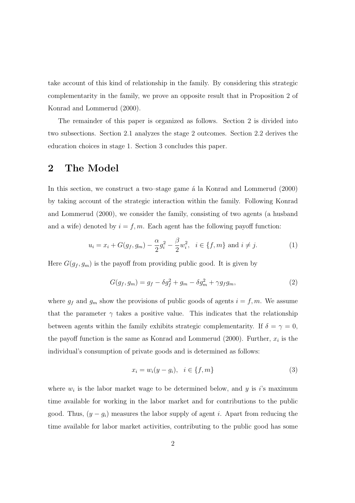take account of this kind of relationship in the family. By considering this strategic complementarity in the family, we prove an opposite result that in Proposition 2 of Konrad and Lommerud (2000).

The remainder of this paper is organized as follows. Section 2 is divided into two subsections. Section 2.1 analyzes the stage 2 outcomes. Section 2.2 derives the education choices in stage 1. Section 3 concludes this paper.

## **2 The Model**

In this section, we construct a two–stage game  $\acute{a}$  la Konrad and Lommerud (2000) by taking account of the strategic interaction within the family. Following Konrad and Lommerud (2000), we consider the family, consisting of two agents (a husband and a wife) denoted by  $i = f, m$ . Each agent has the following payoff function:

$$
u_i = x_i + G(g_f, g_m) - \frac{\alpha}{2}g_i^2 - \frac{\beta}{2}w_i^2, \ \ i \in \{f, m\} \text{ and } i \neq j. \tag{1}
$$

Here  $G(g_f, g_m)$  is the payoff from providing public good. It is given by

$$
G(g_f, g_m) = g_f - \delta g_f^2 + g_m - \delta g_m^2 + \gamma g_f g_m, \qquad (2)
$$

where  $g_f$  and  $g_m$  show the provisions of public goods of agents  $i = f, m$ . We assume that the parameter  $\gamma$  takes a positive value. This indicates that the relationship between agents within the family exhibits strategic complementarity. If  $\delta = \gamma = 0$ , the payoff function is the same as Konrad and Lommerud (2000). Further,  $x_i$  is the individual's consumption of private goods and is determined as follows:

$$
x_i = w_i(y - g_i), \quad i \in \{f, m\} \tag{3}
$$

where  $w_i$  is the labor market wage to be determined below, and y is i's maximum time available for working in the labor market and for contributions to the public good. Thus,  $(y - g_i)$  measures the labor supply of agent *i*. Apart from reducing the time available for labor market activities, contributing to the public good has some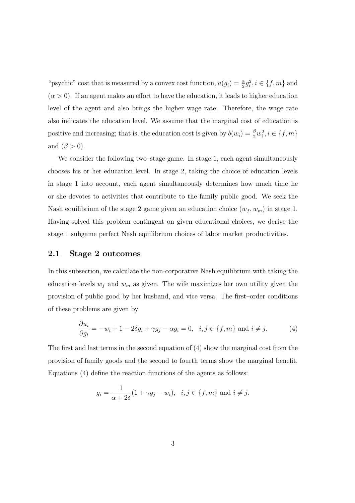"psychic" cost that is measured by a convex cost function,  $a(g_i) = \frac{\alpha}{2} g_i^2, i \in \{f, m\}$  and  $(\alpha > 0)$ . If an agent makes an effort to have the education, it leads to higher education level of the agent and also brings the higher wage rate. Therefore, the wage rate also indicates the education level. We assume that the marginal cost of education is positive and increasing; that is, the education cost is given by  $b(w_i) = \frac{\beta}{2} w_i^2, i \in \{f, m\}$ and  $(\beta > 0)$ .

We consider the following two–stage game. In stage 1, each agent simultaneously chooses his or her education level. In stage 2, taking the choice of education levels in stage 1 into account, each agent simultaneously determines how much time he or she devotes to activities that contribute to the family public good. We seek the Nash equilibrium of the stage 2 game given an education choice  $(w_f, w_m)$  in stage 1. Having solved this problem contingent on given educational choices, we derive the stage 1 subgame perfect Nash equilibrium choices of labor market productivities.

#### **2.1 Stage 2 outcomes**

In this subsection, we calculate the non-corporative Nash equilibrium with taking the education levels  $w_f$  and  $w_m$  as given. The wife maximizes her own utility given the provision of public good by her husband, and vice versa. The first–order conditions of these problems are given by

$$
\frac{\partial u_i}{\partial g_i} = -w_i + 1 - 2\delta g_i + \gamma g_j - \alpha g_i = 0, \quad i, j \in \{f, m\} \text{ and } i \neq j. \tag{4}
$$

The first and last terms in the second equation of (4) show the marginal cost from the provision of family goods and the second to fourth terms show the marginal benefit. Equations (4) define the reaction functions of the agents as follows:

$$
g_i = \frac{1}{\alpha + 2\delta}(1 + \gamma g_j - w_i), \quad i, j \in \{f, m\} \text{ and } i \neq j.
$$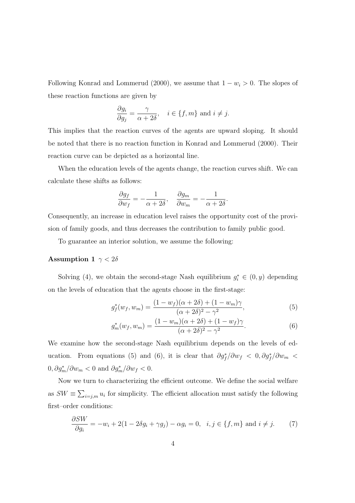Following Konrad and Lommerud (2000), we assume that  $1 - w_i > 0$ . The slopes of these reaction functions are given by

$$
\frac{\partial g_i}{\partial g_j} = \frac{\gamma}{\alpha + 2\delta}, \quad i \in \{f, m\} \text{ and } i \neq j.
$$

This implies that the reaction curves of the agents are upward sloping. It should be noted that there is no reaction function in Konrad and Lommerud (2000). Their reaction curve can be depicted as a horizontal line.

When the education levels of the agents change, the reaction curves shift. We can calculate these shifts as follows:

$$
\frac{\partial g_f}{\partial w_f} = -\frac{1}{\alpha + 2\delta}, \quad \frac{\partial g_m}{\partial w_m} = -\frac{1}{\alpha + 2\delta}.
$$

Consequently, an increase in education level raises the opportunity cost of the provision of family goods, and thus decreases the contribution to family public good.

To guarantee an interior solution, we assume the following:

#### **Assumption 1**  $\gamma < 2\delta$

Solving (4), we obtain the second-stage Nash equilibrium  $g_i^* \in (0, y)$  depending on the levels of education that the agents choose in the first-stage:

$$
g_f^*(w_f, w_m) = \frac{(1 - w_f)(\alpha + 2\delta) + (1 - w_m)\gamma}{(\alpha + 2\delta)^2 - \gamma^2},
$$
(5)

$$
g_m^*(w_f, w_m) = \frac{(1 - w_m)(\alpha + 2\delta) + (1 - w_f)\gamma}{(\alpha + 2\delta)^2 - \gamma^2}.
$$
 (6)

We examine how the second-stage Nash equilibrium depends on the levels of education. From equations (5) and (6), it is clear that  $\partial g_f^* / \partial w_f < 0$ ,  $\partial g_f^* / \partial w_m <$  $0, \partial g_m^* / \partial w_m < 0$  and  $\partial g_m^* / \partial w_f < 0$ .

Now we turn to characterizing the efficient outcome. We define the social welfare as  $SW \equiv \sum_{i=j,m} u_i$  for simplicity. The efficient allocation must satisfy the following first–order conditions:

$$
\frac{\partial SW}{\partial g_i} = -w_i + 2(1 - 2\delta g_i + \gamma g_j) - \alpha g_i = 0, \quad i, j \in \{f, m\} \text{ and } i \neq j. \tag{7}
$$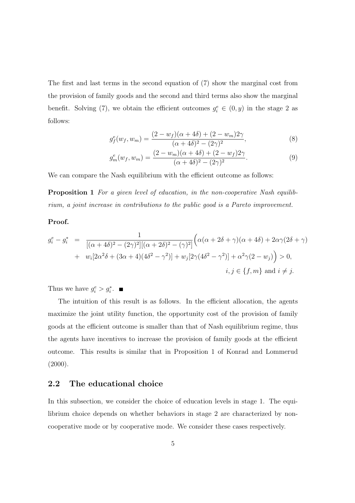The first and last terms in the second equation of (7) show the marginal cost from the provision of family goods and the second and third terms also show the marginal benefit. Solving (7), we obtain the efficient outcomes  $g_i^e \in (0, y)$  in the stage 2 as follows:

$$
g_f^e(w_f, w_m) = \frac{(2 - w_f)(\alpha + 4\delta) + (2 - w_m)2\gamma}{(\alpha + 4\delta)^2 - (2\gamma)^2},
$$
\n(8)

$$
g_m^e(w_f, w_m) = \frac{(2 - w_m)(\alpha + 4\delta) + (2 - w_f)2\gamma}{(\alpha + 4\delta)^2 - (2\gamma)^2}.
$$
\n(9)

We can compare the Nash equilibrium with the efficient outcome as follows:

**Proposition 1** For a given level of education, in the non-cooperative Nash equilibrium, a joint increase in contributions to the public good is a Pareto improvement.

#### **Proof.**

$$
g_i^e - g_i^* = \frac{1}{[(\alpha + 4\delta)^2 - (2\gamma)^2][( \alpha + 2\delta)^2 - (\gamma)^2]} \Big( \alpha(\alpha + 2\delta + \gamma)(\alpha + 4\delta) + 2\alpha\gamma(2\delta + \gamma) + w_i[2\alpha^2\delta + (3\alpha + 4)(4\delta^2 - \gamma^2)] + w_j[2\gamma(4\delta^2 - \gamma^2)] + \alpha^2\gamma(2 - w_j) \Big) > 0, i, j \in \{f, m\} \text{ and } i \neq j.
$$

Thus we have  $g_i^e > g_i^*$ .

The intuition of this result is as follows. In the efficient allocation, the agents maximize the joint utility function, the opportunity cost of the provision of family goods at the efficient outcome is smaller than that of Nash equilibrium regime, thus the agents have incentives to increase the provision of family goods at the efficient outcome. This results is similar that in Proposition 1 of Konrad and Lommerud  $(2000).$ 

#### **2.2 The educational choice**

In this subsection, we consider the choice of education levels in stage 1. The equilibrium choice depends on whether behaviors in stage 2 are characterized by noncooperative mode or by cooperative mode. We consider these cases respectively.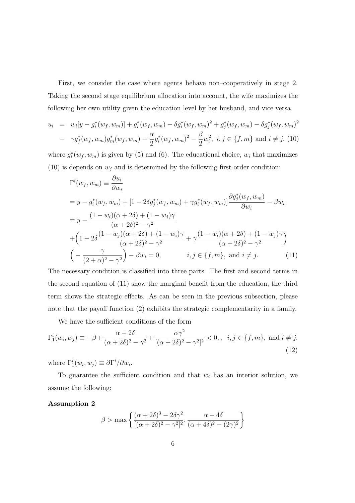First, we consider the case where agents behave non–cooperatively in stage 2. Taking the second stage equilibrium allocation into account, the wife maximizes the following her own utility given the education level by her husband, and vice versa.

$$
u_i = w_i[y - g_i^*(w_f, w_m)] + g_i^*(w_f, w_m) - \delta g_i^*(w_f, w_m)^2 + g_j^*(w_f, w_m) - \delta g_j^*(w_f, w_m)^2
$$
  
+  $\gamma g_f^*(w_f, w_m)g_m^*(w_f, w_m) - \frac{\alpha}{2}g_i^*(w_f, w_m)^2 - \frac{\beta}{2}w_i^2$ ,  $i, j \in \{f, m\}$  and  $i \neq j$ . (10)

where  $g_i^*(w_f, w_m)$  is given by (5) and (6). The educational choice,  $w_i$  that maximizes (10) is depends on  $w_j$  and is determined by the following first-order condition:

$$
\Gamma^{i}(w_{f}, w_{m}) \equiv \frac{\partial u_{i}}{\partial w_{i}}
$$
\n
$$
= y - g_{i}^{*}(w_{f}, w_{m}) + [1 - 2\delta g_{j}^{*}(w_{f}, w_{m}) + \gamma g_{i}^{*}(w_{f}, w_{m})] \frac{\partial g_{j}^{*}(w_{f}, w_{m})}{\partial w_{i}} - \beta w_{i}
$$
\n
$$
= y - \frac{(1 - w_{i})(\alpha + 2\delta) + (1 - w_{j})\gamma}{(\alpha + 2\delta)^{2} - \gamma^{2}}
$$
\n
$$
+ \left(1 - 2\delta \frac{(1 - w_{j})(\alpha + 2\delta) + (1 - w_{i})\gamma}{(\alpha + 2\delta)^{2} - \gamma^{2}} + \gamma \frac{(1 - w_{i})(\alpha + 2\delta) + (1 - w_{j})\gamma}{(\alpha + 2\delta)^{2} - \gamma^{2}}\right)
$$
\n
$$
\left(-\frac{\gamma}{(2 + \alpha)^{2} - \gamma^{2}}\right) - \beta w_{i} = 0, \qquad i, j \in \{f, m\}, \text{ and } i \neq j. \tag{11}
$$

The necessary condition is classified into three parts. The first and second terms in the second equation of (11) show the marginal benefit from the education, the third term shows the strategic effects. As can be seen in the previous subsection, please note that the payoff function (2) exhibits the strategic complementarity in a family.

We have the sufficient conditions of the form

$$
\Gamma_1^i(w_i, w_j) \equiv -\beta + \frac{\alpha + 2\delta}{(\alpha + 2\delta)^2 - \gamma^2} + \frac{\alpha\gamma^2}{[(\alpha + 2\delta)^2 - \gamma^2]^2} < 0, \quad i, j \in \{f, m\}, \text{ and } i \neq j.
$$
\n(12)

where  $\Gamma_1^i(w_i, w_j) \equiv \partial \Gamma^i / \partial w_i$ .

To guarantee the sufficient condition and that  $w_i$  has an interior solution, we assume the following:

#### **Assumption 2**

$$
\beta > \max \left\{ \frac{(\alpha + 2\delta)^3 - 2\delta\gamma^2}{[(\alpha + 2\delta)^2 - \gamma^2]^2}, \frac{\alpha + 4\delta}{(\alpha + 4\delta)^2 - (2\gamma)^2} \right\}
$$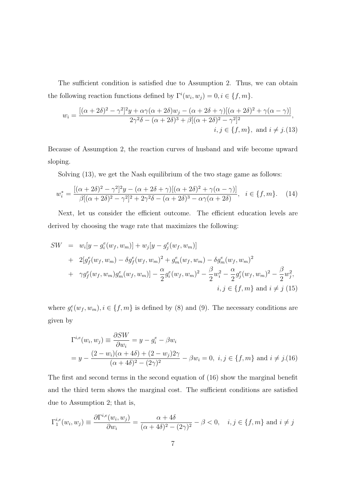The sufficient condition is satisfied due to Assumption 2. Thus, we can obtain the following reaction functions defined by  $\Gamma^i(w_i, w_j) = 0, i \in \{f, m\}.$ 

$$
w_i = \frac{[(\alpha + 2\delta)^2 - \gamma^2]^2 y + \alpha \gamma (\alpha + 2\delta) w_j - (\alpha + 2\delta + \gamma) [(\alpha + 2\delta)^2 + \gamma (\alpha - \gamma)]}{2\gamma^2 \delta - (\alpha + 2\delta)^3 + \beta [(\alpha + 2\delta)^2 - \gamma^2]^2},
$$
  
 $i, j \in \{f, m\}, \text{ and } i \neq j. (13)$ 

Because of Assumption 2, the reaction curves of husband and wife become upward sloping.

Solving (13), we get the Nash equilibrium of the two stage game as follows:

$$
w_i^* = \frac{[(\alpha + 2\delta)^2 - \gamma^2]^2 y - (\alpha + 2\delta + \gamma)[(\alpha + 2\delta)^2 + \gamma(\alpha - \gamma)]}{\beta[(\alpha + 2\delta)^2 - \gamma^2]^2 + 2\gamma^2 \delta - (\alpha + 2\delta)^3 - \alpha\gamma(\alpha + 2\delta)}, \quad i \in \{f, m\}. \tag{14}
$$

Next, let us consider the efficient outcome. The efficient education levels are derived by choosing the wage rate that maximizes the following:

$$
SW = w_i[y - g_i^e(w_f, w_m)] + w_j[y - g_j^e(w_f, w_m)]
$$
  
+  $2[g_f^e(w_f, w_m) - \delta g_f^e(w_f, w_m)^2 + g_m^e(w_f, w_m) - \delta g_m^e(w_f, w_m)^2$   
+  $\gamma g_f^e(w_f, w_m)g_m^e(w_f, w_m)] - \frac{\alpha}{2}g_i^e(w_f, w_m)^2 - \frac{\beta}{2}w_i^2 - \frac{\alpha}{2}g_j^e(w_f, w_m)^2 - \frac{\beta}{2}w_j^2,$   
 $i, j \in \{f, m\}$  and  $i \neq j$  (15)

where  $g_i^e(w_f, w_m), i \in \{f, m\}$  is defined by (8) and (9). The necessary conditions are given by

$$
\Gamma^{i,e}(w_i, w_j) \equiv \frac{\partial SW}{\partial w_i} = y - g_i^e - \beta w_i
$$
  
=  $y - \frac{(2 - w_i)(\alpha + 4\delta) + (2 - w_j)2\gamma}{(\alpha + 4\delta)^2 - (2\gamma)^2} - \beta w_i = 0, \ i, j \in \{f, m\}$  and  $i \neq j$ . (16)

The first and second terms in the second equation of (16) show the marginal benefit and the third term shows the marginal cost. The sufficient conditions are satisfied due to Assumption 2; that is,

$$
\Gamma_1^{i,e}(w_i, w_j) \equiv \frac{\partial \Gamma^{i,e}(w_i, w_j)}{\partial w_i} = \frac{\alpha + 4\delta}{(\alpha + 4\delta)^2 - (2\gamma)^2} - \beta < 0, \quad i, j \in \{f, m\} \text{ and } i \neq j
$$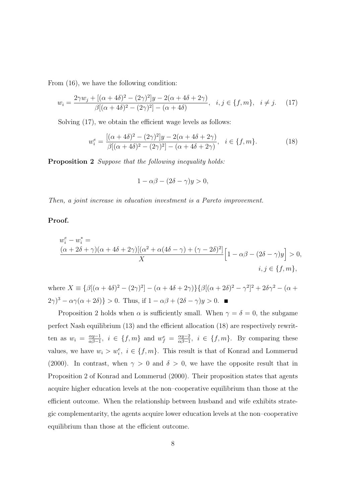From (16), we have the following condition:

$$
w_i = \frac{2\gamma w_j + [(\alpha + 4\delta)^2 - (2\gamma)^2]y - 2(\alpha + 4\delta + 2\gamma)}{\beta[(\alpha + 4\delta)^2 - (2\gamma)^2] - (\alpha + 4\delta)}, \quad i, j \in \{f, m\}, \quad i \neq j. \tag{17}
$$

Solving  $(17)$ , we obtain the efficient wage levels as follows:

$$
w_i^e = \frac{[(\alpha + 4\delta)^2 - (2\gamma)^2]y - 2(\alpha + 4\delta + 2\gamma)}{\beta[(\alpha + 4\delta)^2 - (2\gamma)^2] - (\alpha + 4\delta + 2\gamma)}, \quad i \in \{f, m\}.
$$
 (18)

**Proposition 2** Suppose that the following inequality holds:

$$
1 - \alpha \beta - (2\delta - \gamma)y > 0,
$$

Then, a joint increase in education investment is a Pareto improvement.

#### **Proof.**

$$
w_i^e - w_i^* =
$$
  
\n
$$
\frac{(\alpha + 2\delta + \gamma)(\alpha + 4\delta + 2\gamma)[(\alpha^2 + \alpha(4\delta - \gamma) + (\gamma - 2\delta)^2]}{X} \Big[1 - \alpha\beta - (2\delta - \gamma)y\Big] > 0,
$$
  
\n
$$
i, j \in \{f, m\},
$$

where  $X \equiv {\beta[(\alpha + 4\delta)^2 - (2\gamma)^2] - (\alpha + 4\delta + 2\gamma)} {\beta[(\alpha + 2\delta)^2 - \gamma^2]^2 + 2\delta\gamma^2 - (\alpha + 4\delta)^2}$  $(2\gamma)^3 - \alpha\gamma(\alpha + 2\delta) > 0$ . Thus, if  $1 - \alpha\beta + (2\delta - \gamma)y > 0$ .

Proposition 2 holds when  $\alpha$  is sufficiently small. When  $\gamma = \delta = 0$ , the subgame perfect Nash equilibrium (13) and the efficient allocation (18) are respectively rewritten as  $w_i = \frac{\alpha y - 1}{\alpha \beta - 1}$ ,  $i \in \{f, m\}$  and  $w_f^e = \frac{\alpha y - 2}{\alpha \beta - 1}$ ,  $i \in \{f, m\}$ . By comparing these values, we have  $w_i > w_i^e$ ,  $i \in \{f, m\}$ . This result is that of Konrad and Lommerud (2000). In contrast, when  $\gamma > 0$  and  $\delta > 0$ , we have the opposite result that in Proposition 2 of Konrad and Lommerud (2000). Their proposition states that agents acquire higher education levels at the non–cooperative equilibrium than those at the efficient outcome. When the relationship between husband and wife exhibits strategic complementarity, the agents acquire lower education levels at the non–cooperative equilibrium than those at the efficient outcome.